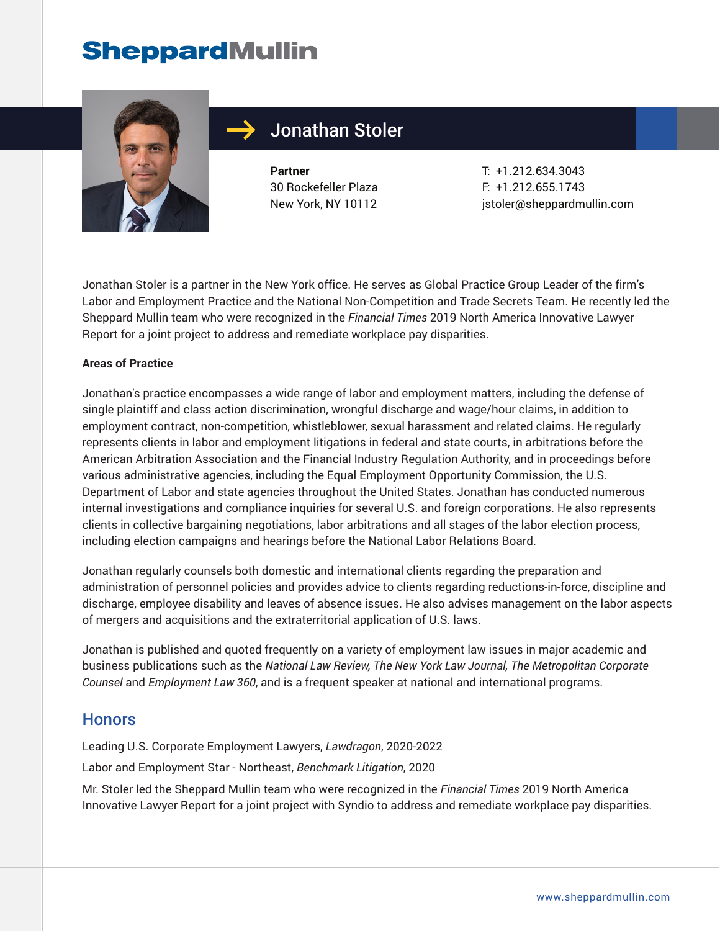

### Jonathan Stoler

**Partner** 30 Rockefeller Plaza New York, NY 10112

T: +1.212.634.3043 F: +1.212.655.1743 jstoler@sheppardmullin.com

Jonathan Stoler is a partner in the New York office. He serves as Global Practice Group Leader of the firm's Labor and Employment Practice and the National Non-Competition and Trade Secrets Team. He recently led the Sheppard Mullin team who were recognized in the *Financial Times* 2019 North America Innovative Lawyer Report for a joint project to address and remediate workplace pay disparities.

#### **Areas of Practice**

Jonathan's practice encompasses a wide range of labor and employment matters, including the defense of single plaintiff and class action discrimination, wrongful discharge and wage/hour claims, in addition to employment contract, non-competition, whistleblower, sexual harassment and related claims. He regularly represents clients in labor and employment litigations in federal and state courts, in arbitrations before the American Arbitration Association and the Financial Industry Regulation Authority, and in proceedings before various administrative agencies, including the Equal Employment Opportunity Commission, the U.S. Department of Labor and state agencies throughout the United States. Jonathan has conducted numerous internal investigations and compliance inquiries for several U.S. and foreign corporations. He also represents clients in collective bargaining negotiations, labor arbitrations and all stages of the labor election process, including election campaigns and hearings before the National Labor Relations Board.

Jonathan regularly counsels both domestic and international clients regarding the preparation and administration of personnel policies and provides advice to clients regarding reductions-in-force, discipline and discharge, employee disability and leaves of absence issues. He also advises management on the labor aspects of mergers and acquisitions and the extraterritorial application of U.S. laws.

Jonathan is published and quoted frequently on a variety of employment law issues in major academic and business publications such as the *National Law Review, The New York Law Journal, The Metropolitan Corporate Counsel* and *Employment Law 360*, and is a frequent speaker at national and international programs.

#### **Honors**

Leading U.S. Corporate Employment Lawyers, *Lawdragon*, 2020-2022

Labor and Employment Star - Northeast, *Benchmark Litigation*, 2020

Mr. Stoler led the Sheppard Mullin team who were recognized in the *Financial Times* 2019 North America Innovative Lawyer Report for a joint project with Syndio to address and remediate workplace pay disparities.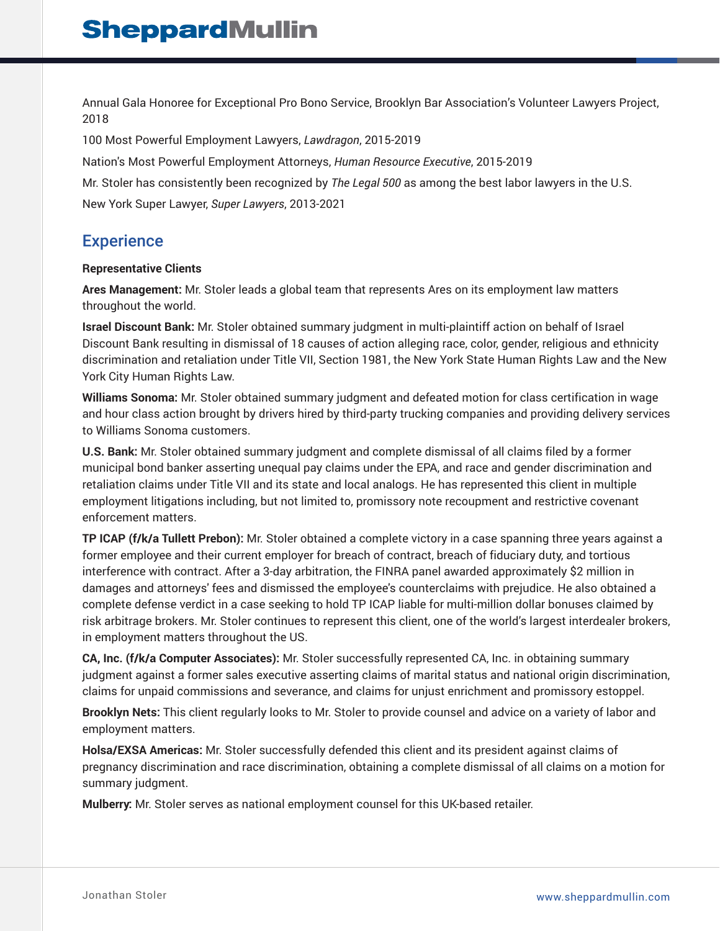Annual Gala Honoree for Exceptional Pro Bono Service, Brooklyn Bar Association's Volunteer Lawyers Project, 2018

100 Most Powerful Employment Lawyers, *Lawdragon*, 2015-2019

Nation's Most Powerful Employment Attorneys, *Human Resource Executive*, 2015-2019

Mr. Stoler has consistently been recognized by *The Legal 500* as among the best labor lawyers in the U.S.

New York Super Lawyer, *Super Lawyers*, 2013-2021

### **Experience**

#### **Representative Clients**

**Ares Management:** Mr. Stoler leads a global team that represents Ares on its employment law matters throughout the world.

**Israel Discount Bank:** Mr. Stoler obtained summary judgment in multi-plaintiff action on behalf of Israel Discount Bank resulting in dismissal of 18 causes of action alleging race, color, gender, religious and ethnicity discrimination and retaliation under Title VII, Section 1981, the New York State Human Rights Law and the New York City Human Rights Law.

**Williams Sonoma:** Mr. Stoler obtained summary judgment and defeated motion for class certification in wage and hour class action brought by drivers hired by third-party trucking companies and providing delivery services to Williams Sonoma customers.

**U.S. Bank:** Mr. Stoler obtained summary judgment and complete dismissal of all claims filed by a former municipal bond banker asserting unequal pay claims under the EPA, and race and gender discrimination and retaliation claims under Title VII and its state and local analogs. He has represented this client in multiple employment litigations including, but not limited to, promissory note recoupment and restrictive covenant enforcement matters.

**TP ICAP (f/k/a Tullett Prebon):** Mr. Stoler obtained a complete victory in a case spanning three years against a former employee and their current employer for breach of contract, breach of fiduciary duty, and tortious interference with contract. After a 3-day arbitration, the FINRA panel awarded approximately \$2 million in damages and attorneys' fees and dismissed the employee's counterclaims with prejudice. He also obtained a complete defense verdict in a case seeking to hold TP ICAP liable for multi-million dollar bonuses claimed by risk arbitrage brokers. Mr. Stoler continues to represent this client, one of the world's largest interdealer brokers, in employment matters throughout the US.

**CA, Inc. (f/k/a Computer Associates):** Mr. Stoler successfully represented CA, Inc. in obtaining summary judgment against a former sales executive asserting claims of marital status and national origin discrimination, claims for unpaid commissions and severance, and claims for unjust enrichment and promissory estoppel.

**Brooklyn Nets:** This client regularly looks to Mr. Stoler to provide counsel and advice on a variety of labor and employment matters.

**Holsa/EXSA Americas:** Mr. Stoler successfully defended this client and its president against claims of pregnancy discrimination and race discrimination, obtaining a complete dismissal of all claims on a motion for summary judgment.

**Mulberry:** Mr. Stoler serves as national employment counsel for this UK-based retailer.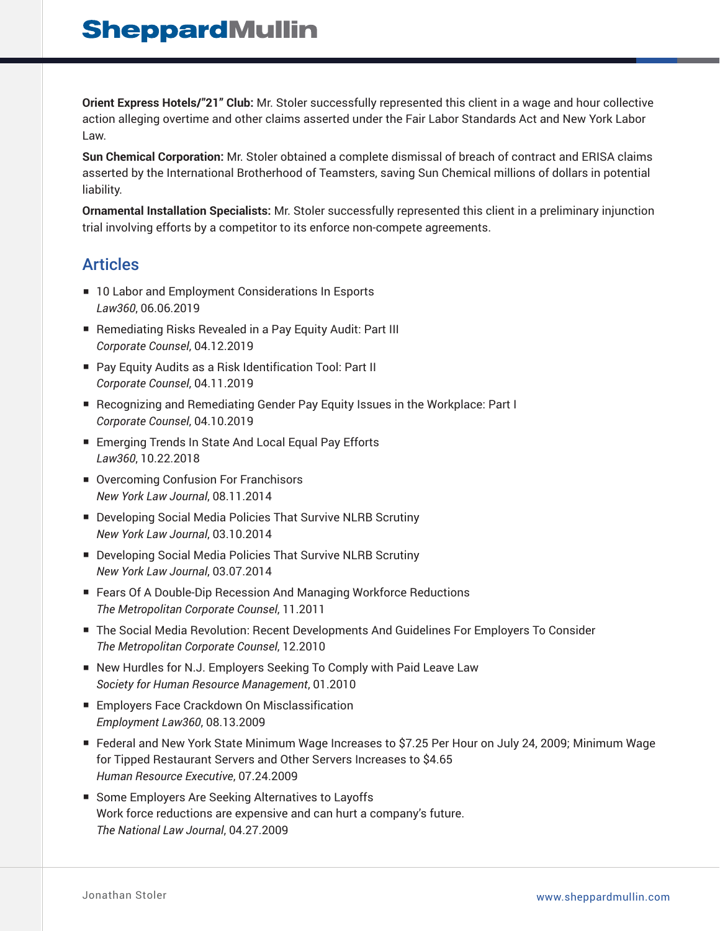**Orient Express Hotels/"21" Club:** Mr. Stoler successfully represented this client in a wage and hour collective action alleging overtime and other claims asserted under the Fair Labor Standards Act and New York Labor Law.

**Sun Chemical Corporation:** Mr. Stoler obtained a complete dismissal of breach of contract and ERISA claims asserted by the International Brotherhood of Teamsters, saving Sun Chemical millions of dollars in potential liability.

**Ornamental Installation Specialists:** Mr. Stoler successfully represented this client in a preliminary injunction trial involving efforts by a competitor to its enforce non-compete agreements.

#### **Articles**

- 10 Labor and Employment Considerations In Esports *Law360*, 06.06.2019
- Remediating Risks Revealed in a Pay Equity Audit: Part III *Corporate Counsel*, 04.12.2019
- Pay Equity Audits as a Risk Identification Tool: Part II *Corporate Counsel*, 04.11.2019
- Recognizing and Remediating Gender Pay Equity Issues in the Workplace: Part I *Corporate Counsel*, 04.10.2019
- Emerging Trends In State And Local Equal Pay Efforts *Law360*, 10.22.2018
- Overcoming Confusion For Franchisors *New York Law Journal*, 08.11.2014
- Developing Social Media Policies That Survive NLRB Scrutiny *New York Law Journal*, 03.10.2014
- Developing Social Media Policies That Survive NLRB Scrutiny *New York Law Journal*, 03.07.2014
- Fears Of A Double-Dip Recession And Managing Workforce Reductions *The Metropolitan Corporate Counsel*, 11.2011
- The Social Media Revolution: Recent Developments And Guidelines For Employers To Consider *The Metropolitan Corporate Counsel*, 12.2010
- New Hurdles for N.J. Employers Seeking To Comply with Paid Leave Law *Society for Human Resource Management*, 01.2010
- Employers Face Crackdown On Misclassification *Employment Law360*, 08.13.2009
- Federal and New York State Minimum Wage Increases to \$7.25 Per Hour on July 24, 2009; Minimum Wage for Tipped Restaurant Servers and Other Servers Increases to \$4.65 *Human Resource Executive*, 07.24.2009
- Some Employers Are Seeking Alternatives to Layoffs Work force reductions are expensive and can hurt a company's future. *The National Law Journal*, 04.27.2009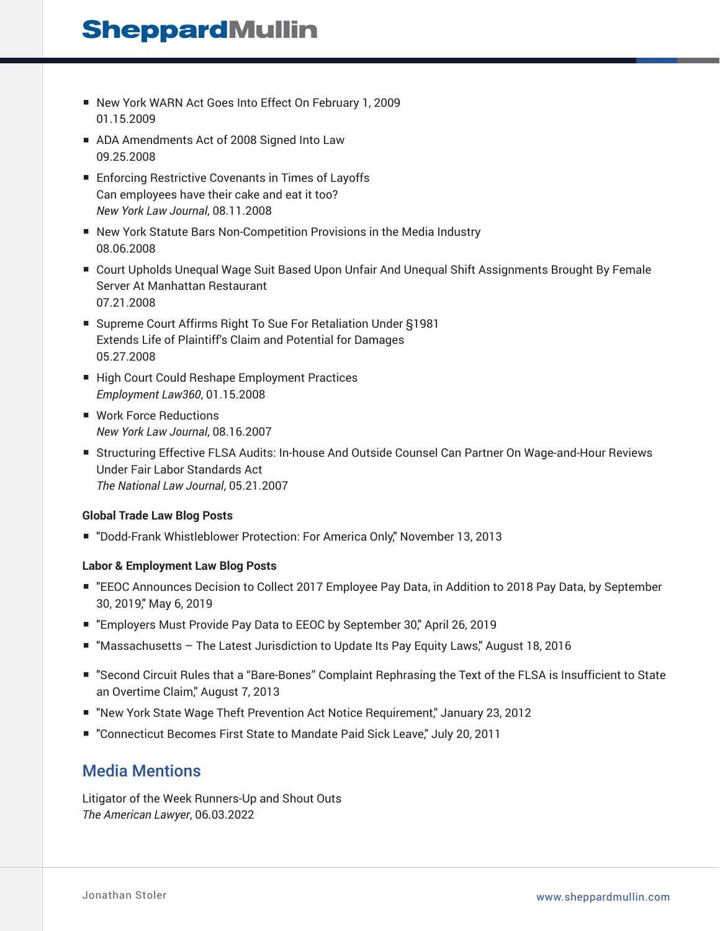- New York WARN Act Goes Into Effect On February 1, 2009 01.15.2009
- ADA Amendments Act of 2008 Signed Into Law 09.25.2008
- Enforcing Restrictive Covenants in Times of Layoffs Can employees have their cake and eat it too? *New York Law Journal*, 08.11.2008
- New York Statute Bars Non-Competition Provisions in the Media Industry 08.06.2008
- Court Upholds Unequal Wage Suit Based Upon Unfair And Unequal Shift Assignments Brought By Female Server At Manhattan Restaurant 07.21.2008
- Supreme Court Affirms Right To Sue For Retaliation Under §1981 Extends Life of Plaintiff's Claim and Potential for Damages 05.27.2008
- High Court Could Reshape Employment Practices *Employment Law360*, 01.15.2008
- Work Force Reductions *New York Law Journal*, 08.16.2007
- Structuring Effective FLSA Audits: In-house And Outside Counsel Can Partner On Wage-and-Hour Reviews Under Fair Labor Standards Act *The National Law Journal*, 05.21.2007

#### **Global Trade Law Blog Posts**

■ "Dodd-Frank Whistleblower Protection: For America Only," November 13, 2013

#### **Labor & Employment Law Blog Posts**

- "EEOC Announces Decision to Collect 2017 Employee Pay Data, in Addition to 2018 Pay Data, by September 30, 2019," May 6, 2019
- "Employers Must Provide Pay Data to EEOC by September 30," April 26, 2019
- "Massachusetts The Latest Jurisdiction to Update Its Pay Equity Laws," August 18, 2016
- "Second Circuit Rules that a "Bare-Bones" Complaint Rephrasing the Text of the FLSA is Insufficient to State an Overtime Claim," August 7, 2013
- "New York State Wage Theft Prevention Act Notice Requirement," January 23, 2012
- "Connecticut Becomes First State to Mandate Paid Sick Leave," July 20, 2011

### Media Mentions

Litigator of the Week Runners-Up and Shout Outs *The American Lawyer*, 06.03.2022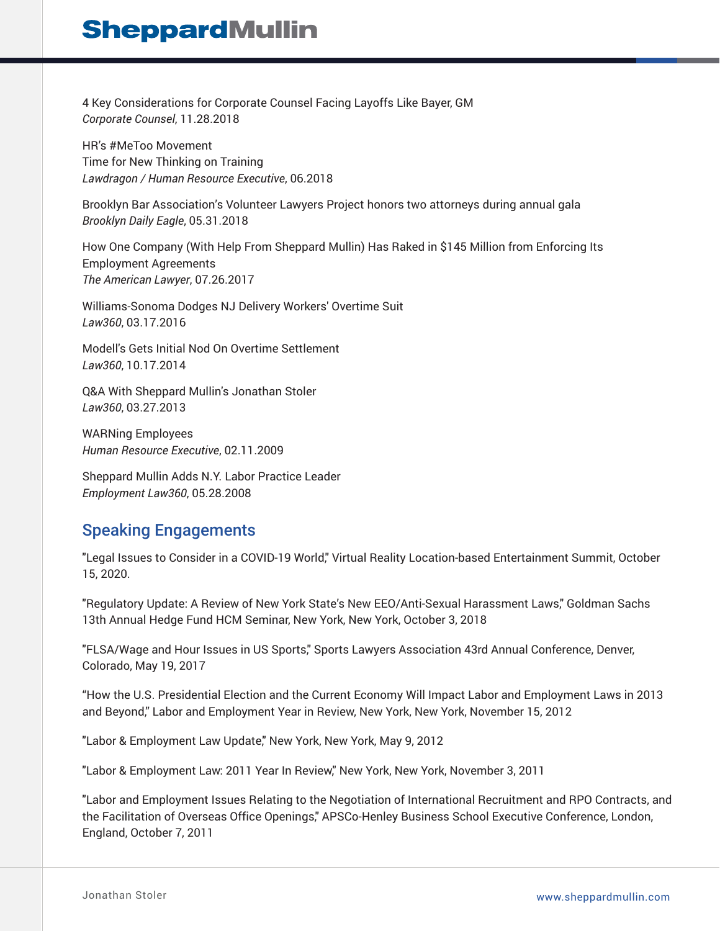4 Key Considerations for Corporate Counsel Facing Layoffs Like Bayer, GM *Corporate Counsel*, 11.28.2018

HR's #MeToo Movement Time for New Thinking on Training *Lawdragon / Human Resource Executive*, 06.2018

Brooklyn Bar Association's Volunteer Lawyers Project honors two attorneys during annual gala *Brooklyn Daily Eagle*, 05.31.2018

How One Company (With Help From Sheppard Mullin) Has Raked in \$145 Million from Enforcing Its Employment Agreements *The American Lawyer*, 07.26.2017

Williams-Sonoma Dodges NJ Delivery Workers' Overtime Suit *Law360*, 03.17.2016

Modell's Gets Initial Nod On Overtime Settlement *Law360*, 10.17.2014

Q&A With Sheppard Mullin's Jonathan Stoler *Law360*, 03.27.2013

WARNing Employees *Human Resource Executive*, 02.11.2009

Sheppard Mullin Adds N.Y. Labor Practice Leader *Employment Law360*, 05.28.2008

### Speaking Engagements

"Legal Issues to Consider in a COVID-19 World," Virtual Reality Location-based Entertainment Summit, October 15, 2020.

"Regulatory Update: A Review of New York State's New EEO/Anti-Sexual Harassment Laws," Goldman Sachs 13th Annual Hedge Fund HCM Seminar, New York, New York, October 3, 2018

"FLSA/Wage and Hour Issues in US Sports," Sports Lawyers Association 43rd Annual Conference, Denver, Colorado, May 19, 2017

"How the U.S. Presidential Election and the Current Economy Will Impact Labor and Employment Laws in 2013 and Beyond," Labor and Employment Year in Review, New York, New York, November 15, 2012

"Labor & Employment Law Update," New York, New York, May 9, 2012

"Labor & Employment Law: 2011 Year In Review," New York, New York, November 3, 2011

"Labor and Employment Issues Relating to the Negotiation of International Recruitment and RPO Contracts, and the Facilitation of Overseas Office Openings," APSCo-Henley Business School Executive Conference, London, England, October 7, 2011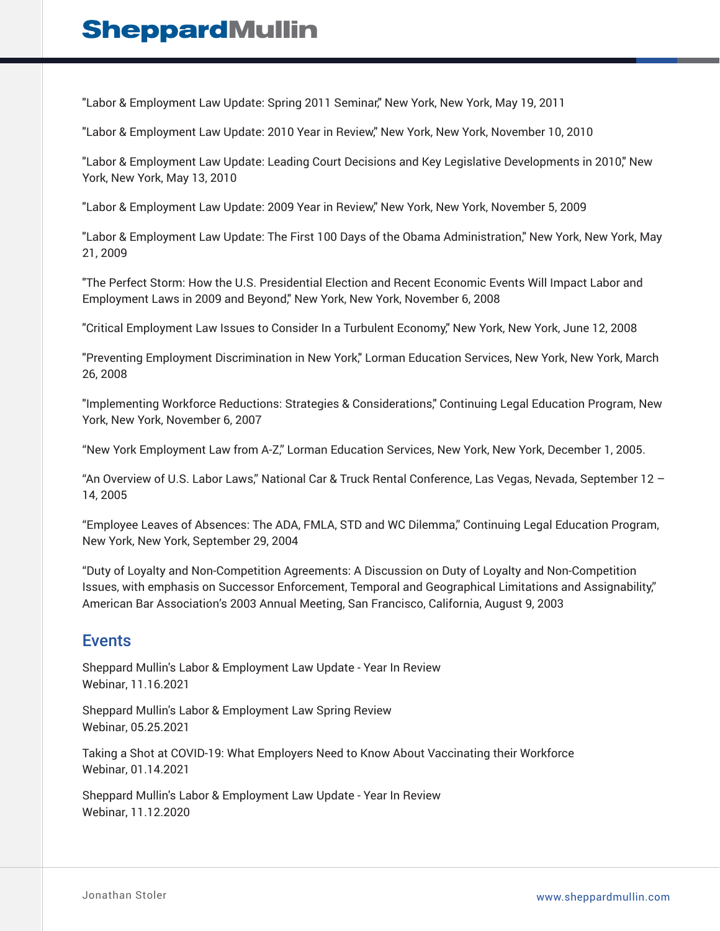"Labor & Employment Law Update: Spring 2011 Seminar," New York, New York, May 19, 2011

"Labor & Employment Law Update: 2010 Year in Review," New York, New York, November 10, 2010

"Labor & Employment Law Update: Leading Court Decisions and Key Legislative Developments in 2010," New York, New York, May 13, 2010

"Labor & Employment Law Update: 2009 Year in Review," New York, New York, November 5, 2009

"Labor & Employment Law Update: The First 100 Days of the Obama Administration," New York, New York, May 21, 2009

"The Perfect Storm: How the U.S. Presidential Election and Recent Economic Events Will Impact Labor and Employment Laws in 2009 and Beyond," New York, New York, November 6, 2008

"Critical Employment Law Issues to Consider In a Turbulent Economy," New York, New York, June 12, 2008

"Preventing Employment Discrimination in New York," Lorman Education Services, New York, New York, March 26, 2008

"Implementing Workforce Reductions: Strategies & Considerations," Continuing Legal Education Program, New York, New York, November 6, 2007

"New York Employment Law from A-Z," Lorman Education Services, New York, New York, December 1, 2005.

"An Overview of U.S. Labor Laws," National Car & Truck Rental Conference, Las Vegas, Nevada, September 12 – 14, 2005

"Employee Leaves of Absences: The ADA, FMLA, STD and WC Dilemma," Continuing Legal Education Program, New York, New York, September 29, 2004

"Duty of Loyalty and Non-Competition Agreements: A Discussion on Duty of Loyalty and Non-Competition Issues, with emphasis on Successor Enforcement, Temporal and Geographical Limitations and Assignability," American Bar Association's 2003 Annual Meeting, San Francisco, California, August 9, 2003

#### Events

Sheppard Mullin's Labor & Employment Law Update - Year In Review Webinar, 11.16.2021

Sheppard Mullin's Labor & Employment Law Spring Review Webinar, 05.25.2021

Taking a Shot at COVID-19: What Employers Need to Know About Vaccinating their Workforce Webinar, 01.14.2021

Sheppard Mullin's Labor & Employment Law Update - Year In Review Webinar, 11.12.2020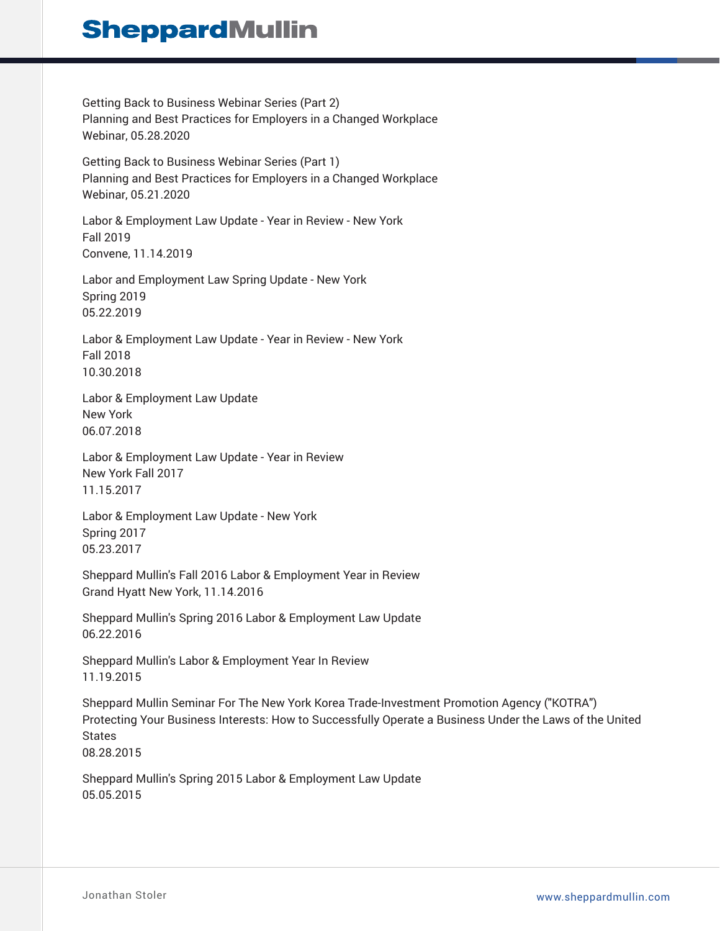Getting Back to Business Webinar Series (Part 2) Planning and Best Practices for Employers in a Changed Workplace Webinar, 05.28.2020

Getting Back to Business Webinar Series (Part 1) Planning and Best Practices for Employers in a Changed Workplace Webinar, 05.21.2020

Labor & Employment Law Update - Year in Review - New York Fall 2019 Convene, 11.14.2019

Labor and Employment Law Spring Update - New York Spring 2019 05.22.2019

Labor & Employment Law Update - Year in Review - New York Fall 2018 10.30.2018

Labor & Employment Law Update New York 06.07.2018

Labor & Employment Law Update - Year in Review New York Fall 2017 11.15.2017

Labor & Employment Law Update - New York Spring 2017 05.23.2017

Sheppard Mullin's Fall 2016 Labor & Employment Year in Review Grand Hyatt New York, 11.14.2016

Sheppard Mullin's Spring 2016 Labor & Employment Law Update 06.22.2016

Sheppard Mullin's Labor & Employment Year In Review 11.19.2015

Sheppard Mullin Seminar For The New York Korea Trade-Investment Promotion Agency ("KOTRA") Protecting Your Business Interests: How to Successfully Operate a Business Under the Laws of the United States 08.28.2015

Sheppard Mullin's Spring 2015 Labor & Employment Law Update 05.05.2015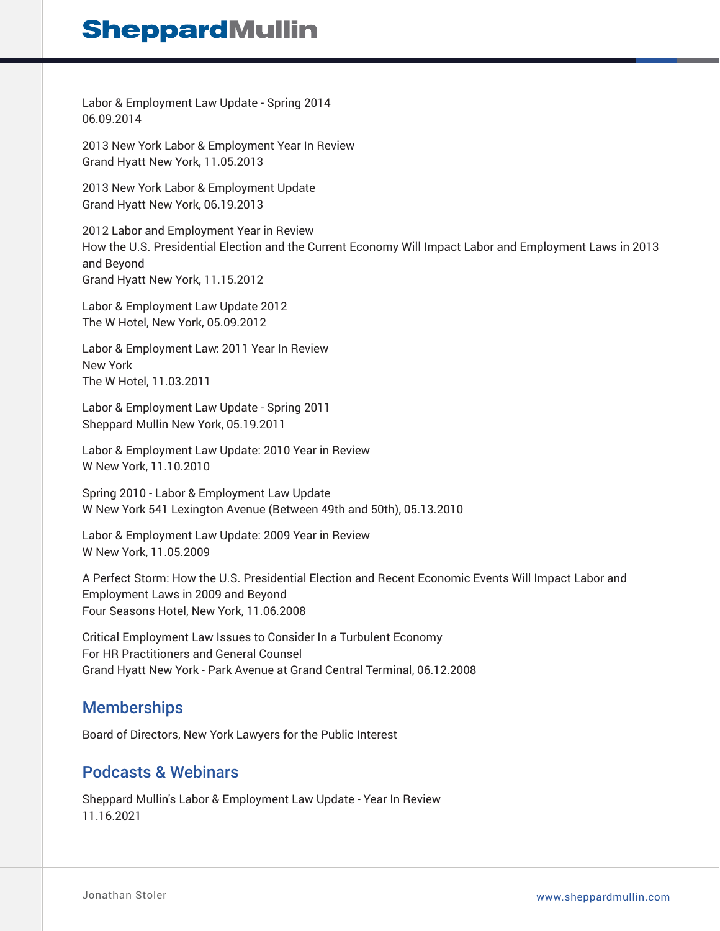Labor & Employment Law Update - Spring 2014 06.09.2014

2013 New York Labor & Employment Year In Review Grand Hyatt New York, 11.05.2013

2013 New York Labor & Employment Update Grand Hyatt New York, 06.19.2013

2012 Labor and Employment Year in Review How the U.S. Presidential Election and the Current Economy Will Impact Labor and Employment Laws in 2013 and Beyond Grand Hyatt New York, 11.15.2012

Labor & Employment Law Update 2012 The W Hotel, New York, 05.09.2012

Labor & Employment Law: 2011 Year In Review New York The W Hotel, 11.03.2011

Labor & Employment Law Update - Spring 2011 Sheppard Mullin New York, 05.19.2011

Labor & Employment Law Update: 2010 Year in Review W New York, 11.10.2010

Spring 2010 - Labor & Employment Law Update W New York 541 Lexington Avenue (Between 49th and 50th), 05.13.2010

Labor & Employment Law Update: 2009 Year in Review W New York, 11.05.2009

A Perfect Storm: How the U.S. Presidential Election and Recent Economic Events Will Impact Labor and Employment Laws in 2009 and Beyond Four Seasons Hotel, New York, 11.06.2008

Critical Employment Law Issues to Consider In a Turbulent Economy For HR Practitioners and General Counsel Grand Hyatt New York - Park Avenue at Grand Central Terminal, 06.12.2008

### **Memberships**

Board of Directors, New York Lawyers for the Public Interest

### Podcasts & Webinars

Sheppard Mullin's Labor & Employment Law Update - Year In Review 11.16.2021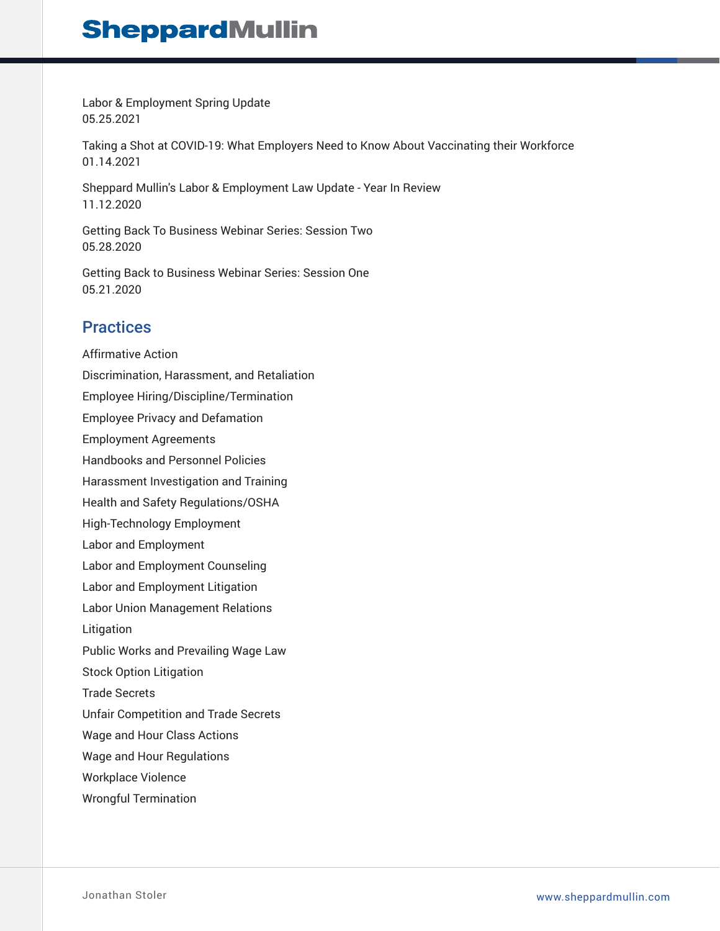Labor & Employment Spring Update 05.25.2021

Taking a Shot at COVID-19: What Employers Need to Know About Vaccinating their Workforce 01.14.2021

Sheppard Mullin's Labor & Employment Law Update - Year In Review 11.12.2020

Getting Back To Business Webinar Series: Session Two 05.28.2020

Getting Back to Business Webinar Series: Session One 05.21.2020

### **Practices**

Affirmative Action Discrimination, Harassment, and Retaliation Employee Hiring/Discipline/Termination Employee Privacy and Defamation Employment Agreements Handbooks and Personnel Policies Harassment Investigation and Training Health and Safety Regulations/OSHA High-Technology Employment Labor and Employment Labor and Employment Counseling Labor and Employment Litigation Labor Union Management Relations Litigation Public Works and Prevailing Wage Law Stock Option Litigation Trade Secrets Unfair Competition and Trade Secrets Wage and Hour Class Actions Wage and Hour Regulations Workplace Violence Wrongful Termination